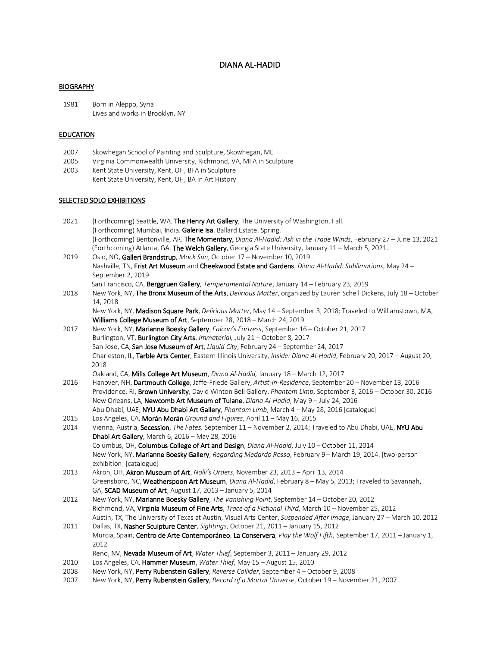# DIANA AL-HADID

#### BIOGRAPHY

1981 Born in Aleppo, Syria Lives and works in Brooklyn, NY

### EDUCATION

- 2007 Skowhegan School of Painting and Sculpture, Skowhegan, ME
- 2005 Virginia Commonwealth University, Richmond, VA, MFA in Sculpture
- 2003 Kent State University, Kent, OH, BFA in Sculpture Kent State University, Kent, OH, BA in Art History

#### SELECTED SOLO EXHIBITIONS

| 2021 | (Forthcoming) Seattle, WA. <b>The Henry Art Gallery</b> , The University of Washington. Fall.                            |
|------|--------------------------------------------------------------------------------------------------------------------------|
|      | (Forthcoming) Mumbai, India. Galerie Isa. Ballard Estate. Spring.                                                        |
|      | (Forthcoming) Bentonville, AR. <b>The Momentary,</b> Diana Al-Hadid: Ash in the Trade Winds, February 27 – June 13, 2021 |
|      | (Forthcoming) Atlanta, GA. The Welch Gallery, Georgia State University, January 11 – March 5, 2021.                      |
| 2019 | Oslo, NO, Galleri Brandstrup, Mock Sun, October 17 - November 10, 2019                                                   |
|      | Nochuille TNL Friet Art Museum and Chaeleysed Estate and Cardena Diana Al Hadid: Cublimations, May 24                    |

- Nashville, TN, Frist Art Museum and Cheekwood Estate and Gardens, *Diana Al-Hadid: Sublimations*, May 24 September 2, 2019
- San Francisco, CA, Berggruen Gallery, *Temperamental Nature*, January 14 February 23, 2019 2018 New York, NY, The Bronx Museum of the Arts, *Delirious Matter*, organized by Lauren Schell Dickens, July 18 – October 14, 2018 New York, NY, Madison Square Park, *Delirious Matter*, May 14 – September 3, 2018; Traveled to Williamstown, MA,

Williams College Museum of Art, September 28, 2018 – March 24, 2019

2017 New York, NY, Marianne Boesky Gallery, *Falcon's Fortress*, September 16 – October 21, 2017 Burlington, VT, Burlington City Arts, *Immaterial,* July 21 – October 8, 2017 San Jose, CA, San Jose Museum of Art, *Liquid City*, February 24 – September 24, 2017 Charleston, IL, Tarble Arts Center, Eastern Illinois University, *Inside: Diana Al-Hadid*, February 20, 2017 – August 20, 2018

Oakland, CA, Mills College Art Museum, *Diana Al-Hadid,* January 18 – March 12, 2017

- 2016 Hanover, NH, Dartmouth College, Jaffe-Friede Gallery, *Artist-in-Residence*, September 20 November 13, 2016 Providence, RI, Brown University, David Winton Bell Gallery, *Phantom Limb*, September 3, 2016 – October 30, 2016 New Orleans, LA, Newcomb Art Museum of Tulane, *Diana Al-Hadid*, May 9 – July 24, 2016 Abu Dhabi, UAE, NYU Abu Dhabi Art Gallery, *Phantom Limb*, March 4 – May 28, 2016 [catalogue]
- 2015 Los Angeles, CA, Morán Morán *Ground and Figures*, April 11 May 16, 2015
- 2014 Vienna, Austria, Secession, *The Fates,* September 11 November 2, 2014; Traveled to Abu Dhabi, UAE, NYU Abu Dhabi Art Gallery, March 6, 2016 – May 28, 2016 Columbus, OH, Columbus College of Art and Design, *Diana Al-Hadid*, July 10 – October 11, 2014 New York, NY, Marianne Boesky Gallery, *Regarding Medardo Rosso*, February 9– March 19, 2014. [two-person exhibition] [catalogue]
- 2013 Akron, OH, Akron Museum of Art, *Nolli's Orders*, November 23, 2013 April 13, 2014 Greensboro, NC, Weatherspoon Art Museum, *Diana Al-Hadid*, February 8 – May 5, 2013; Traveled to Savannah, GA, SCAD Museum of Art, August 17, 2013 – January 5, 2014
- 2012 New York, NY, Marianne Boesky Gallery, *The Vanishing Point*, September 14 October 20, 2012 Richmond, VA, Virginia Museum of Fine Arts, *Trace of a Fictional Third*, March 10 – November 25, 2012 Austin, TX, The University of Texas at Austin, Visual Arts Center, *Suspended After Image*, January 27 – March 10, 2012
- 2011 Dallas, TX, Nasher Sculpture Center, *Sightings*, October 21, 2011 January 15, 2012 Murcia, Spain, Centro de Arte Contemporáneo, La Conservera, *Play the Wolf Fifth*, September 17, 2011 – January 1, 2012
- Reno, NV, Nevada Museum of Art, *Water Thief*, September 3, 2011 January 29, 2012
- 2010 Los Angeles, CA,Hammer Museum, *Water Thief*, May 15 August 15, 2010
- 2008 New York, NY, Perry Rubenstein Gallery, *Reverse Collider*, September 4 October 9, 2008
- 2007 New York, NY,Perry Rubenstein Gallery, *Record of a Mortal Universe*, October 19 November 21, 2007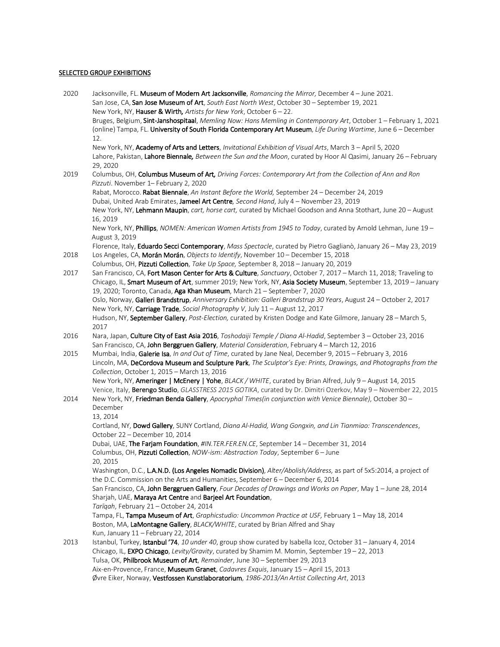### **SELECTED GROUP EXHIBITIONS**

| 2020 | Jacksonville, FL. Museum of Modern Art Jacksonville, Romancing the Mirror, December 4 - June 2021.<br>San Jose, CA, San Jose Museum of Art, South East North West, October 30 - September 19, 2021                                                                            |
|------|-------------------------------------------------------------------------------------------------------------------------------------------------------------------------------------------------------------------------------------------------------------------------------|
|      | New York, NY, Hauser & Wirth, Artists for New York, October 6 - 22.                                                                                                                                                                                                           |
|      | Bruges, Belgium, Sint-Janshospitaal, Memling Now: Hans Memling in Contemporary Art, October 1 - February 1, 2021<br>(online) Tampa, FL. University of South Florida Contemporary Art Museum, Life During Wartime, June 6 - December<br>12.                                    |
|      | New York, NY, Academy of Arts and Letters, Invitational Exhibition of Visual Arts, March 3 - April 5, 2020<br>Lahore, Pakistan, Lahore Biennale, Between the Sun and the Moon, curated by Hoor Al Qasimi, January 26 - February                                               |
| 2019 | 29, 2020<br>Columbus, OH, Columbus Museum of Art, Driving Forces: Contemporary Art from the Collection of Ann and Ron<br>Pizzuti. November 1- February 2, 2020                                                                                                                |
|      | Rabat, Morocco. Rabat Biennale, An Instant Before the World, September 24 - December 24, 2019                                                                                                                                                                                 |
|      | Dubai, United Arab Emirates, Jameel Art Centre, Second Hand, July 4 - November 23, 2019                                                                                                                                                                                       |
|      | New York, NY, Lehmann Maupin, cart, horse cart, curated by Michael Goodson and Anna Stothart, June 20 - August<br>16, 2019                                                                                                                                                    |
|      | New York, NY, Phillips, NOMEN: American Women Artists from 1945 to Today, curated by Arnold Lehman, June 19 -<br>August 3, 2019                                                                                                                                               |
| 2018 | Florence, Italy, Eduardo Secci Contemporary, Mass Spectacle, curated by Pietro Gaglianò, January 26 - May 23, 2019<br>Los Angeles, CA, Morán Morán, Objects to Identify, November 10 - December 15, 2018                                                                      |
|      | Columbus, OH, Pizzuti Collection, Take Up Space, September 8, 2018 - January 20, 2019                                                                                                                                                                                         |
| 2017 | San Francisco, CA, Fort Mason Center for Arts & Culture, Sanctuary, October 7, 2017 - March 11, 2018; Traveling to<br>Chicago, IL, Smart Museum of Art, summer 2019; New York, NY, Asia Society Museum, September 13, 2019 - January                                          |
|      | 19, 2020; Toronto, Canada, Aga Khan Museum, March 21 - September 7, 2020                                                                                                                                                                                                      |
|      | Oslo, Norway, Galleri Brandstrup, Anniversary Exhibition: Galleri Brandstrup 30 Years, August 24 - October 2, 2017<br>New York, NY, Carriage Trade, Social Photography V, July 11 - August 12, 2017                                                                           |
|      | Hudson, NY, September Gallery, Post-Election, curated by Kristen Dodge and Kate Gilmore, January 28 - March 5,<br>2017                                                                                                                                                        |
| 2016 | Nara, Japan, Culture City of East Asia 2016, Toshodaiji Temple / Diana Al-Hadid, September 3 - October 23, 2016<br>San Francisco, CA, John Berggruen Gallery, Material Consideration, February 4 - March 12, 2016                                                             |
| 2015 | Mumbai, India, Galerie Isa, In and Out of Time, curated by Jane Neal, December 9, 2015 - February 3, 2016<br>Lincoln, MA, DeCordova Museum and Sculpture Park, The Sculptor's Eye: Prints, Drawings, and Photographs from the<br>Collection, October 1, 2015 - March 13, 2016 |
|      | New York, NY, Ameringer   McEnery   Yohe, BLACK / WHITE, curated by Brian Alfred, July 9 - August 14, 2015<br>Venice, Italy, Berengo Studio, GLASSTRESS 2015 GOTIKA, curated by Dr. Dimitri Ozerkov, May 9 - November 22, 2015                                                |
| 2014 | New York, NY, Friedman Benda Gallery, Apocryphal Times(in conjunction with Venice Biennale), October 30 -<br>December                                                                                                                                                         |
|      | 13, 2014                                                                                                                                                                                                                                                                      |
|      | Cortland, NY, Dowd Gallery, SUNY Cortland, Diana Al-Hadid, Wang Gongxin, and Lin Tianmiao: Transcendences,<br>October 22 - December 10, 2014                                                                                                                                  |
|      | Dubai, UAE, The Farjam Foundation, #IN.TER.FER.EN.CE, September 14 - December 31, 2014                                                                                                                                                                                        |
|      | Columbus, OH, Pizzuti Collection, NOW-ism: Abstraction Today, September 6 - June<br>20, 2015                                                                                                                                                                                  |
|      | Washington, D.C., L.A.N.D. (Los Angeles Nomadic Division), Alter/Abolish/Address, as part of 5x5:2014, a project of                                                                                                                                                           |
|      | the D.C. Commission on the Arts and Humanities, September 6 - December 6, 2014                                                                                                                                                                                                |
|      | San Francisco, CA, John Berggruen Gallery, Four Decades of Drawings and Works on Paper, May 1 - June 28, 2014<br>Sharjah, UAE, Maraya Art Centre and Barjeel Art Foundation,                                                                                                  |
|      | Tarīqah, February 21 - October 24, 2014                                                                                                                                                                                                                                       |
|      | Tampa, FL, Tampa Museum of Art, Graphicstudio: Uncommon Practice at USF, February 1 - May 18, 2014<br>Boston, MA, LaMontagne Gallery, BLACK/WHITE, curated by Brian Alfred and Shay                                                                                           |
|      | Kun, January 11 - February 22, 2014                                                                                                                                                                                                                                           |
| 2013 | Istanbul, Turkey, Istanbul '74, 10 under 40, group show curated by Isabella Icoz, October 31 – January 4, 2014                                                                                                                                                                |
|      | Chicago, IL, EXPO Chicago, Levity/Gravity, curated by Shamim M. Momin, September 19 - 22, 2013                                                                                                                                                                                |
|      | Tulsa, OK, Philbrook Museum of Art, Remainder, June 30 - September 29, 2013<br>Aix-en-Provence, France, Museum Granet, Cadavres Exquis, January 15 - April 15, 2013                                                                                                           |
|      | Øvre Eiker, Norway, Vestfossen Kunstlaboratorium, 1986-2013/An Artist Collecting Art, 2013                                                                                                                                                                                    |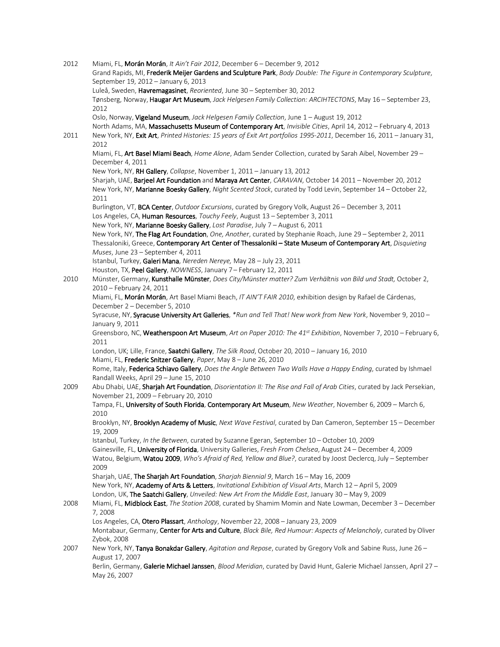| 2012 | Miami, FL, Morán Morán, It Ain't Fair 2012, December 6 - December 9, 2012                                                                                           |
|------|---------------------------------------------------------------------------------------------------------------------------------------------------------------------|
|      | Grand Rapids, MI, Frederik Meijer Gardens and Sculpture Park, Body Double: The Figure in Contemporary Sculpture,                                                    |
|      | September 19, 2012 - January 6, 2013                                                                                                                                |
|      | Luleå, Sweden, Havremagasinet, Reoriented, June 30 - September 30, 2012                                                                                             |
|      | Tønsberg, Norway, Haugar Art Museum, Jack Helgesen Family Collection: ARCIHTECTONS, May 16 - September 23,<br>2012                                                  |
|      | Oslo, Norway, Vigeland Museum, Jack Helgesen Family Collection, June 1 - August 19, 2012                                                                            |
|      | North Adams, MA, Massachusetts Museum of Contemporary Art, Invisible Cities, April 14, 2012 - February 4, 2013                                                      |
| 2011 | New York, NY, Exit Art, Printed Histories: 15 years of Exit Art portfolios 1995-2011, December 16, 2011 - January 31,<br>2012                                       |
|      | Miami, FL, Art Basel Miami Beach, Home Alone, Adam Sender Collection, curated by Sarah Aibel, November 29 -<br>December 4, 2011                                     |
|      | New York, NY, RH Gallery, Collapse, November 1, 2011 - January 13, 2012                                                                                             |
|      | Sharjah, UAE, Barjeel Art Foundation and Maraya Art Center, CARAVAN, October 14 2011 - November 20, 2012                                                            |
|      | New York, NY, Marianne Boesky Gallery, Night Scented Stock, curated by Todd Levin, September 14 - October 22,<br>2011                                               |
|      | Burlington, VT, BCA Center, Outdoor Excursions, curated by Gregory Volk, August 26 - December 3, 2011                                                               |
|      | Los Angeles, CA, Human Resources, Touchy Feely, August 13 - September 3, 2011                                                                                       |
|      | New York, NY, Marianne Boesky Gallery, Lost Paradise, July 7 - August 6, 2011                                                                                       |
|      | New York, NY, The Flag Art Foundation, One, Another, curated by Stephanie Roach, June 29 - September 2, 2011                                                        |
|      | Thessaloniki, Greece, Contemporary Art Center of Thessaloniki - State Museum of Contemporary Art, Disquieting                                                       |
|      | Muses, June 23 - September 4, 2011                                                                                                                                  |
|      | Istanbul, Turkey, Galeri Mana, Nereden Nereye, May 28 - July 23, 2011                                                                                               |
|      | Houston, TX, Peel Gallery, NOWNESS, January 7-February 12, 2011                                                                                                     |
| 2010 | Münster, Germany, Kunsthalle Münster, Does City/Münster matter? Zum Verhältnis von Bild und Stadt, October 2,                                                       |
|      | 2010 - February 24, 2011                                                                                                                                            |
|      | Miami, FL, Morán Morán, Art Basel Miami Beach, IT AIN'T FAIR 2010, exhibition design by Rafael de Cárdenas,                                                         |
|      | December 2 - December 5, 2010                                                                                                                                       |
|      | Syracuse, NY, Syracuse University Art Galleries, *Run and Tell That! New work from New York, November 9, 2010-                                                      |
|      | January 9, 2011<br>Greensboro, NC, Weatherspoon Art Museum, Art on Paper 2010: The 41st Exhibition, November 7, 2010 - February 6,                                  |
|      | 2011                                                                                                                                                                |
|      | London, UK; Lille, France, Saatchi Gallery, The Silk Road, October 20, 2010 - January 16, 2010<br>Miami, FL, Frederic Snitzer Gallery, Paper, May 8 - June 26, 2010 |
|      | Rome, Italy, Federica Schiavo Gallery, Does the Angle Between Two Walls Have a Happy Ending, curated by Ishmael                                                     |
|      | Randall Weeks, April 29 - June 15, 2010                                                                                                                             |
| 2009 | Abu Dhabi, UAE, Sharjah Art Foundation, Disorientation II: The Rise and Fall of Arab Cities, curated by Jack Persekian,                                             |
|      | November 21, 2009 - February 20, 2010                                                                                                                               |
|      | Tampa, FL, University of South Florida, Contemporary Art Museum, New Weather, November 6, 2009 - March 6,<br>2010                                                   |
|      | Brooklyn, NY, Brooklyn Academy of Music, Next Wave Festival, curated by Dan Cameron, September 15 - December<br>19, 2009                                            |
|      | Istanbul, Turkey, In the Between, curated by Suzanne Egeran, September 10 - October 10, 2009                                                                        |
|      | Gainesville, FL, University of Florida, University Galleries, Fresh From Chelsea, August 24 - December 4, 2009                                                      |
|      | Watou, Belgium, Watou 2009, Who's Afraid of Red, Yellow and Blue?, curated by Joost Declercq, July - September<br>2009                                              |
|      | Sharjah, UAE, The Sharjah Art Foundation, Sharjah Biennial 9, March 16 - May 16, 2009                                                                               |
|      | New York, NY, Academy of Arts & Letters, Invitational Exhibition of Visual Arts, March 12 - April 5, 2009                                                           |
|      | London, UK, The Saatchi Gallery, Unveiled: New Art From the Middle East, January 30 - May 9, 2009                                                                   |
| 2008 | Miami, FL, Midblock East, The Station 2008, curated by Shamim Momin and Nate Lowman, December 3 - December<br>7,2008                                                |
|      | Los Angeles, CA, Otero Plassart, Anthology, November 22, 2008 - January 23, 2009                                                                                    |
|      | Montabaur, Germany, Center for Arts and Culture, Black Bile, Red Humour: Aspects of Melancholy, curated by Oliver                                                   |
|      | Zybok, 2008                                                                                                                                                         |
| 2007 | New York, NY, Tanya Bonakdar Gallery, Agitation and Repose, curated by Gregory Volk and Sabine Russ, June 26 -                                                      |
|      | August 17, 2007                                                                                                                                                     |
|      | Berlin, Germany, Galerie Michael Janssen, Blood Meridian, curated by David Hunt, Galerie Michael Janssen, April 27 -<br>May 26, 2007                                |
|      |                                                                                                                                                                     |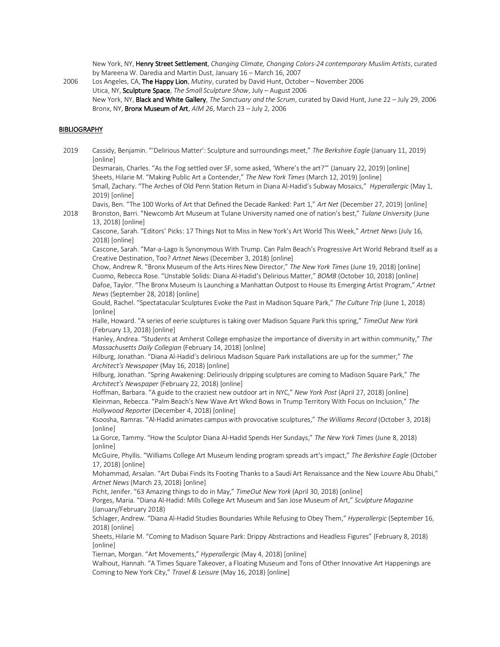New York, NY, Henry Street Settlement, *Changing Climate, Changing Colors-24 contemporary Muslim Artists*, curated by Mareena W. Daredia and Martin Dust, January 16 – March 16, 2007

2006 Los Angeles, CA, The Happy Lion, *Mutiny*, curated by David Hunt, October – November 2006 Utica, NY, Sculpture Space, *The Small Sculpture Show*, July – August 2006 New York, NY, Black and White Gallery, *The Sanctuary and the Scrum*, curated by David Hunt, June 22 – July 29, 2006 Bronx, NY, Bronx Museum of Art, *AIM 26*, March 23 – July 2, 2006

### BIBLIOGRAPHY

2019 Cassidy, Benjamin. "'Delirious Matter': Sculpture and surroundings meet," *The Berkshire Eagle* (January 11, 2019) [online] Desmarais, Charles. "As the Fog settled over SF, some asked, 'Where's the art?'" (January 22, 2019) [online] Sheets, Hilarie M. "Making Public Art a Contender," *The New York Times* (March 12, 2019) [online] Small, Zachary. "The Arches of Old Penn Station Return in Diana Al-Hadid's Subway Mosaics," *Hyperallergic* (May 1, 2019) [online] Davis, Ben. "The 100 Works of Art that Defined the Decade Ranked: Part 1," *Art Net* (December 27, 2019) [online] 2018 Bronston, Barri. "Newcomb Art Museum at Tulane University named one of nation's best," *Tulane University* (June 13, 2018) [online] Cascone, Sarah. "Editors' Picks: 17 Things Not to Miss in New York's Art World This Week," *Artnet News* (July 16, 2018) [online] Cascone, Sarah. "Mar-a-Lago Is Synonymous With Trump. Can Palm Beach's Progressive Art World Rebrand Itself as a Creative Destination, Too? *Artnet News* (December 3, 2018) [online] Chow, Andrew R. "Bronx Museum of the Arts Hires New Director," *The New York Times* (June 19, 2018) [online] Cuomo, Rebecca Rose. "Unstable Solids: Diana Al-Hadid's Delirious Matter," *BOMB* (October 10, 2018) [online] Dafoe, Taylor. "The Bronx Museum Is Launching a Manhattan Outpost to House Its Emerging Artist Program," *Artnet News* (September 28, 2018) [online] Gould, Rachel. "Spectatacular Sculptures Evoke the Past in Madison Square Park," *The Culture Trip* (June 1, 2018) [online] Halle, Howard. "A series of eerie sculptures is taking over Madison Square Park this spring," *TimeOut New York* (February 13, 2018) [online] Hanley, Andrea. "Students at Amherst College emphasize the importance of diversity in art within community," *The Massachusetts Daily Collegian* (February 14, 2018) [online] Hilburg, Jonathan. "Diana Al-Hadid's delirious Madison Square Park installations are up for the summer," *The Architect's Newspaper* (May 16, 2018) [online] Hilburg, Jonathan. "Spring Awakening: Deliriously dripping sculptures are coming to Madison Square Park," *The Architect's Newspaper* (February 22, 2018) [online] Hoffman, Barbara. "A guide to the craziest new outdoor art in NYC," *New York Post* (April 27, 2018) [online] Kleinman, Rebecca. "Palm Beach's New Wave Art Wknd Bows in Trump Territory With Focus on Inclusion," *The Hollywood Reporter* (December 4, 2018) [online] Ksoosha, Ramras. "Al-Hadid animates campus with provocative sculptures," *The Williams Record* (October 3, 2018) [online] La Gorce, Tammy. "How the Sculptor Diana Al-Hadid Spends Her Sundays," *The New York Times* (June 8, 2018) [online] McGuire, Phyllis. "Williams College Art Museum lending program spreads art's impact," *The Berkshire Eagle* (October 17, 2018) [online] Mohammad, Arsalan. "Art Dubai Finds Its Footing Thanks to a Saudi Art Renaissance and the New Louvre Abu Dhabi," *Artnet News* (March 23, 2018) [online] Picht, Jenifer. "63 Amazing things to do in May," *TimeOut New York* (April 30, 2018) [online] Porges, Maria. "Diana Al-Hadid: Mills College Art Museum and San Jose Museum of Art," *Sculpture Magazine* (January/February 2018) Schlager, Andrew. "Diana Al-Hadid Studies Boundaries While Refusing to Obey Them," *Hyperallergic* (September 16, 2018) [online] Sheets, Hilarie M. "Coming to Madison Square Park: Drippy Abstractions and Headless Figures" (February 8, 2018) [online] Tiernan, Morgan. "Art Movements," *Hyperallergic* (May 4, 2018) [online] Walhout, Hannah. "A Times Square Takeover, a Floating Museum and Tons of Other Innovative Art Happenings are Coming to New York City," *Travel & Leisure* (May 16, 2018) [online]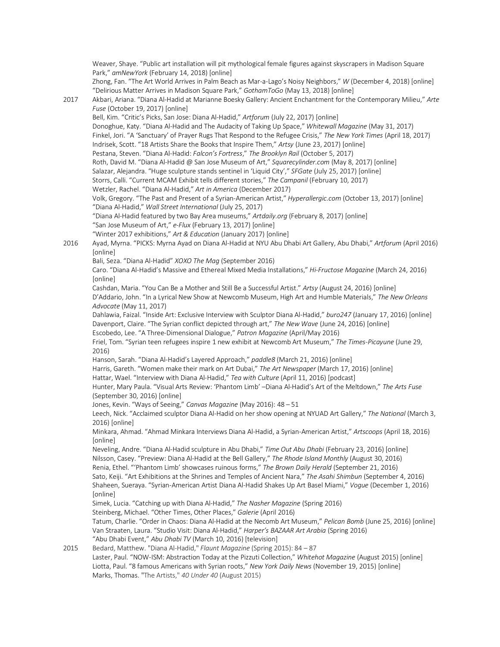Weaver, Shaye. "Public art installation will pit mythological female figures against skyscrapers in Madison Square Park," *amNewYork* (February 14, 2018) [online] Zhong, Fan. "The Art World Arrives in Palm Beach as Mar-a-Lago's Noisy Neighbors," *W* (December 4, 2018) [online] "Delirious Matter Arrives in Madison Square Park," *GothamToGo* (May 13, 2018) [online] 2017 Akbari, Ariana. "Diana Al-Hadid at Marianne Boesky Gallery: Ancient Enchantment for the Contemporary Milieu," *Arte Fuse* (October 19, 2017) [online] Bell, Kim. "Critic's Picks, San Jose: Diana Al-Hadid," *Artforum* (July 22, 2017) [online] Donoghue, Katy. "Diana Al-Hadid and The Audacity of Taking Up Space," *Whitewall Magazine* (May 31, 2017) Finkel, Jori. "A 'Sanctuary' of Prayer Rugs That Respond to the Refugee Crisis," *The New York Times* (April 18, 2017) Indrisek, Scott. "18 Artists Share the Books that Inspire Them," *Artsy* (June 23, 2017) [online] Pestana, Steven. "Diana Al-Hadid: *Falcon's Fortress*," *The Brooklyn Rail* (October 5, 2017) Roth, David M. "Diana Al-Hadid @ San Jose Museum of Art," *Squarecylinder.com* (May 8, 2017) [online] Salazar, Alejandra. "Huge sculpture stands sentinel in 'Liquid City'," *SFGate* (July 25, 2017) [online] Storrs, Calli. "Current MCAM Exhibit tells different stories," *The Campanil* (February 10, 2017) Wetzler, Rachel. "Diana Al-Hadid," *Art in America* (December 2017) Volk, Gregory. "The Past and Present of a Syrian-American Artist," *Hyperallergic.com* (October 13, 2017) [online] "Diana Al-Hadid," *Wall Street International* (July 25, 2017) "Diana Al-Hadid featured by two Bay Area museums," *Artdaily.org* (February 8, 2017) [online] "San Jose Museum of Art," *e-Flux* (February 13, 2017) [online] "Winter 2017 exhibitions," *Art & Education* (January 2017) [online] 2016 Ayad, Myrna. "PICKS: Myrna Ayad on Diana Al-Hadid at NYU Abu Dhabi Art Gallery, Abu Dhabi," *Artforum* (April 2016) [online] Bali, Seza. "Diana Al-Hadid" *XOXO The Mag* (September 2016) Caro. "Diana Al-Hadid's Massive and Ethereal Mixed Media Installations," *Hi-Fructose Magazine* (March 24, 2016) [online] Cashdan, Maria. "You Can Be a Mother and Still Be a Successful Artist." *Artsy* (August 24, 2016) [online] D'Addario, John. "In a Lyrical New Show at Newcomb Museum, High Art and Humble Materials," *The New Orleans Advocate* (May 11, 2017) Dahlawia, Faizal. "Inside Art: Exclusive Interview with Sculptor Diana Al-Hadid," *buro247* (January 17, 2016) [online] Davenport, Claire. "The Syrian conflict depicted through art," *The New Wave* (June 24, 2016) [online] Escobedo, Lee. "A Three-Dimensional Dialogue," *Patron Magazine* (April/May 2016) Friel, Tom. "Syrian teen refugees inspire 1 new exhibit at Newcomb Art Museum," *The Times-Picayune* (June 29, 2016) Hanson, Sarah. "Diana Al-Hadid's Layered Approach," *paddle8* (March 21, 2016) [online] Harris, Gareth. "Women make their mark on Art Dubai," *The Art Newspaper* (March 17, 2016) [online] Hattar, Wael. "Interview with Diana Al-Hadid," *Tea with Culture* (April 11, 2016) [podcast] Hunter, Mary Paula. "Visual Arts Review: 'Phantom Limb' –Diana Al-Hadid's Art of the Meltdown," *The Arts Fuse* (September 30, 2016) [online] Jones, Kevin. "Ways of Seeing," *Canvas Magazine* (May 2016): 48 – 51 Leech, Nick. "Acclaimed sculptor Diana Al-Hadid on her show opening at NYUAD Art Gallery," *The National* (March 3, 2016) [online] Minkara, Ahmad. "Ahmad Minkara Interviews Diana Al-Hadid, a Syrian-American Artist," *Artscoops* (April 18, 2016) [online] Neveling, Andre. "Diana Al-Hadid sculpture in Abu Dhabi," *Time Out Abu Dhabi* (February 23, 2016) [online] Nilsson, Casey. "Preview: Diana Al-Hadid at the Bell Gallery," *The Rhode Island Monthly* (August 30, 2016) Renia, Ethel. "'Phantom Limb' showcases ruinous forms," *The Brown Daily Herald* (September 21, 2016) Sato, Keiji. "Art Exhibitions at the Shrines and Temples of Ancient Nara," *The Asahi Shimbun* (September 4, 2016) Shaheen, Sueraya. "Syrian-American Artist Diana Al-Hadid Shakes Up Art Basel Miami," *Vogue* (December 1, 2016) [online] Simek, Lucia. "Catching up with Diana Al-Hadid," *The Nasher Magazine* (Spring 2016) Steinberg, Michael. "Other Times, Other Places," *Galerie* (April 2016) Tatum, Charlie. "Order in Chaos: Diana Al-Hadid at the Necomb Art Museum," *Pelican Bomb* (June 25, 2016) [online] Van Straaten, Laura. "Studio Visit: Diana Al-Hadid," *Harper's BAZAAR Art Arabia* (Spring 2016) "Abu Dhabi Event," *Abu Dhabi TV* (March 10, 2016) [television] 2015 Bedard, Matthew. "Diana Al-Hadid," *Flaunt Magazine* (Spring 2015): 84 – 87 Laster, Paul. "NOW-ISM: Abstraction Today at the Pizzuti Collection," *Whitehot Magazine* (August 2015) [online] Liotta, Paul. "8 famous Americans with Syrian roots," *New York Daily News* (November 19, 2015) [online] Marks, Thomas. "The Artists," *40 Under 40* (August 2015)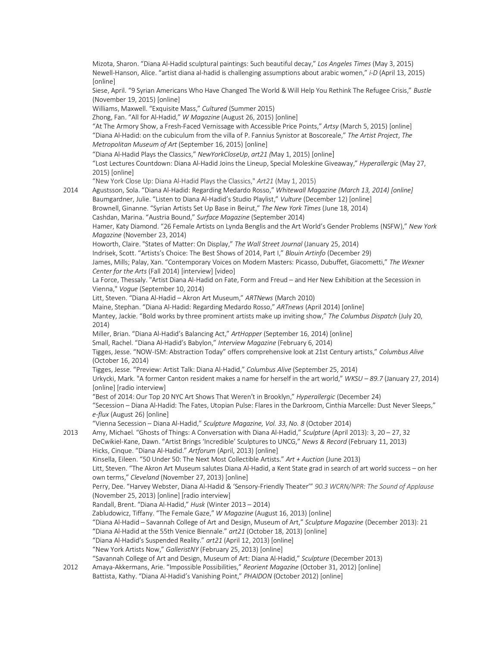Mizota, Sharon. "Diana Al-Hadid sculptural paintings: Such beautiful decay," *Los Angeles Times* (May 3, 2015) Newell-Hanson, Alice. "artist diana al-hadid is challenging assumptions about arabic women," *i-D* (April 13, 2015) [online] Siese, April. "9 Syrian Americans Who Have Changed The World & Will Help You Rethink The Refugee Crisis," *Bustle*  (November 19, 2015) [online] Williams, Maxwell. "Exquisite Mass," *Cultured* (Summer 2015) Zhong, Fan. "All for Al-Hadid," *W Magazine* (August 26, 2015) [online] "At The Armory Show, a Fresh-Faced Vernissage with Accessible Price Points," *Artsy* (March 5, 2015) [online] "Diana Al-Hadid: on the cubiculum from the villa of P. Fannius Synistor at Boscoreale," *The Artist Project*, *The Metropolitan Museum of Art* (September 16, 2015) [online] "Diana Al-Hadid Plays the Classics," *NewYorkCloseUp*, *art21 (*May 1, 2015) [online] "Lost Lectures Countdown: Diana Al-Hadid Joins the Lineup, Special Moleskine Giveaway," *Hyperallergic* (May 27, 2015) [online] "New York Close Up: Diana Al-Hadid Plays the Classics," *Art21* (May 1, 2015) 2014 Agustsson, Sola. "Diana Al-Hadid: Regarding Medardo Rosso," *Whitewall Magazine (March 13, 2014) [online]* Baumgardner, Julie. "Listen to Diana Al-Hadid's Studio Playlist," *Vulture* (December 12) [online] Brownell, Ginanne. "Syrian Artists Set Up Base in Beirut," *The New York Times* (June 18, 2014) Cashdan, Marina. "Austria Bound," *Surface Magazine* (September 2014) Hamer, Katy Diamond. "26 Female Artists on Lynda Benglis and the Art World's Gender Problems (NSFW)," *New York Magazine* (November 23, 2014) Howorth, Claire. "States of Matter: On Display," *The Wall Street Journal* (January 25, 2014) Indrisek, Scott. "Artists's Choice: The Best Shows of 2014, Part I," *Blouin Artinfo* (December 29) James, Mills; Palay, Xan. "Contemporary Voices on Modern Masters: Picasso, Dubuffet, Giacometti," *The Wexner Center for the Arts* (Fall 2014) [interview] [video] La Force, Thessaly. "Artist Diana Al-Hadid on Fate, Form and Freud – and Her New Exhibition at the Secession in Vienna," *Vogue* (September 10, 2014) Litt, Steven. "Diana Al-Hadid – Akron Art Museum," *ARTNews* (March 2010) Maine, Stephan. "Diana Al-Hadid: Regarding Medardo Rosso," *ARTnews* (April 2014) [online] Mantey, Jackie. "Bold works by three prominent artists make up inviting show," *The Columbus Dispatch* (July 20, 2014) Miller, Brian. "Diana Al-Hadid's Balancing Act," *ArtHopper* (September 16, 2014) [online] Small, Rachel. "Diana Al-Hadid's Babylon," *Interview Magazine* (February 6, 2014) Tigges, Jesse. "NOW-ISM: Abstraction Today" offers comprehensive look at 21st Century artists," *Columbus Alive* (October 16, 2014) Tigges, Jesse. "Preview: Artist Talk: Diana Al-Hadid," *Columbus Alive* (September 25, 2014) Urkycki, Mark. "A former Canton resident makes a name for herself in the art world," *WKSU – 89.7* (January 27, 2014) [online] [radio interview] "Best of 2014: Our Top 20 NYC Art Shows That Weren't in Brooklyn," *Hyperallergic* (December 24) "Secession – Diana Al-Hadid: The Fates, Utopian Pulse: Flares in the Darkroom, Cinthia Marcelle: Dust Never Sleeps," *e-flux* (August 26) [online] "Vienna Secession – Diana Al-Hadid," *Sculpture Magazine, Vol. 33, No. 8* (October 2014) 2013 Amy, Michael*.* "Ghosts of Things: A Conversation with Diana Al-Hadid," *Sculpture* (April 2013): 3, 20 – 27, 32 DeCwikiel-Kane, Dawn. "Artist Brings 'Incredible' Sculptures to UNCG," *News & Record* (February 11, 2013) Hicks, Cinque. "Diana Al-Hadid." *Artforum* (April, 2013) [online] Kinsella, Eileen. "50 Under 50: The Next Most Collectible Artists." *Art + Auction* (June 2013) Litt, Steven. "The Akron Art Museum salutes Diana Al-Hadid, a Kent State grad in search of art world success – on her own terms," *Cleveland* (November 27, 2013) [online] Perry, Dee. "Harvey Webster, Diana Al-Hadid & 'Sensory-Friendly Theater'" *90.3 WCRN/NPR: The Sound of Applause* (November 25, 2013) [online] [radio interview] Randall, Brent. "Diana Al-Hadid," *Husk* (Winter 2013 – 2014) Zabludowicz, Tiffany. "The Female Gaze," *W Magazine* (August 16, 2013) [online] "Diana Al-Hadid – Savannah College of Art and Design, Museum of Art," *Sculpture Magazine* (December 2013): 21 "Diana Al-Hadid at the 55th Venice Biennale." *art21* (October 18, 2013) [online] "Diana Al-Hadid's Suspended Reality." *art21* (April 12, 2013) [online] "New York Artists Now," *GalleristNY* (February 25, 2013) [online] "Savannah College of Art and Design, Museum of Art: Diana Al-Hadid," *Sculpture* (December 2013) 2012 Amaya-Akkermans, Arie. "Impossible Possibilities," *Reorient Magazine* (October 31, 2012) [online] Battista, Kathy. "Diana Al-Hadid's Vanishing Point," *PHAIDON* (October 2012) [online]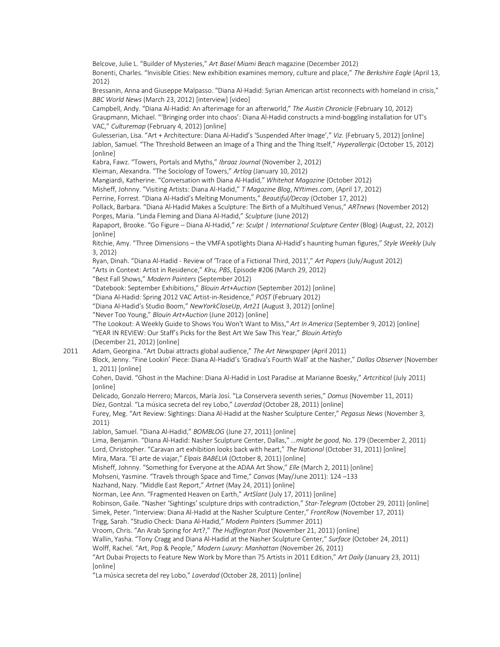Belcove, Julie L. "Builder of Mysteries," *Art Basel Miami Beach* magazine (December 2012) Bonenti, Charles. "Invisible Cities: New exhibition examines memory, culture and place," *The Berkshire Eagle* (April 13, 2012) Bressanin, Anna and Giuseppe Malpasso. "Diana Al-Hadid: Syrian American artist reconnects with homeland in crisis," *BBC World News* (March 23, 2012) [interview] [video] Campbell, Andy. "Diana Al-Hadid: An afterimage for an afterworld," *The Austin Chronicle* (February 10, 2012) Graupmann, Michael. "'Bringing order into chaos': Diana Al-Hadid constructs a mind-boggling installation for UT's VAC," *Culturemap* (February 4, 2012) [online] Gulesserian, Lisa. "Art + Architecture: Diana Al-Hadid's 'Suspended After Image'," *Viz.* (February 5, 2012) [online] Jablon, Samuel. "The Threshold Between an Image of a Thing and the Thing Itself," *Hyperallergic* (October 15, 2012) [online] Kabra, Fawz. "Towers, Portals and Myths," *Ibraaz Journal* (November 2, 2012) Kleiman, Alexandra. "The Sociology of Towers," *Artlog* (January 10, 2012) Mangiardi, Katherine. "Conversation with Diana Al-Hadid," *Whitehot Magazine* (October 2012) Misheff, Johnny. "Visiting Artists: Diana Al-Hadid," *T Magazine Blog*, *NYtimes.com*, (April 17, 2012) Perrine, Forrest. "Diana Al-Hadid's Melting Monuments," *Beautiful/Decay* (October 17, 2012) Pollack, Barbara. "Diana Al-Hadid Makes a Sculpture: The Birth of a Multihued Venus," *ARTnews* (November 2012) Porges, Maria. "Linda Fleming and Diana Al-Hadid," *Sculpture* (June 2012) Rapaport, Brooke. "Go Figure – Diana Al-Hadid," *re: Sculpt | International Sculpture Center* (Blog) (August, 22, 2012) [online] Ritchie, Amy. "Three Dimensions – the VMFA spotlights Diana Al-Hadid's haunting human figures," *Style Weekly* (July 3, 2012) Ryan, Dinah. "Diana Al-Hadid - Review of 'Trace of a Fictional Third, 2011'," *Art Papers* (July/August 2012) "Arts in Context: Artist in Residence," *Klru, PBS*, Episode #206 (March 29, 2012) "Best Fall Shows," *Modern Painters* (September 2012) "Datebook: September Exhibitions," *Blouin Art+Auction* (September 2012) [online] "Diana Al-Hadid: Spring 2012 VAC Artist-in-Residence," *POST* (February 2012) "Diana Al-Hadid's Studio Boom," *NewYorkCloseUp*, *Art21* (August 3, 2012) [online] "Never Too Young," *Blouin Art+Auction* (June 2012) [online] "The Lookout: A Weekly Guide to Shows You Won't Want to Miss," *Art In America* (September 9, 2012) [online] "YEAR IN REVIEW: Our Staff's Picks for the Best Art We Saw This Year," *Blouin Artinfo* (December 21, 2012) [online] 2011 Adam, Georgina. "Art Dubai attracts global audience," *The Art Newspaper* (April 2011) Block, Jenny. "Fine Lookin' Piece: Diana Al-Hadid's 'Gradiva's Fourth Wall' at the Nasher," *Dallas Observer* (November 1, 2011) [online] Cohen, David. "Ghost in the Machine: Diana Al-Hadid in Lost Paradise at Marianne Boesky," *Artcritical* (July 2011) [online] Delicado, Gonzalo Herrero; Marcos, María Josí. "La Conservera seventh series," *Domus* (November 11, 2011) Díez, Gontzal. "La música secreta del rey Lobo," *Laverdad* (October 28, 2011) [online] Furey, Meg. "Art Review: Sightings: Diana Al-Hadid at the Nasher Sculpture Center," *Pegasus News* (November 3, 2011) Jablon, Samuel. "Diana Al-Hadid," *BOMBLOG* (June 27, 2011) [online] Lima, Benjamin. "Diana Al-Hadid: Nasher Sculpture Center, Dallas," *…might be good*, No. 179 (December 2, 2011) Lord, Christopher. "Caravan art exhibition looks back with heart," *The National* (October 31, 2011) [online] Mira, Mara. "El arte de viajar," *Elpais BABELIA* (October 8, 2011) [online] Misheff, Johnny. "Something for Everyone at the ADAA Art Show," *Elle* (March 2, 2011) [online] Mohseni, Yasmine. "Travels through Space and Time," *Canvas* (May/June 2011): 124 –133 Nazhand, Nazy. "Middle East Report," *Artnet* (May 24, 2011) [online] Norman, Lee Ann. "Fragmented Heaven on Earth," *ArtSlant* (July 17, 2011) [online] Robinson, Gaile. "Nasher 'Sightings' sculpture drips with contradiction," *Star-Telegram* (October 29, 2011) [online] Simek, Peter. "Interview: Diana Al-Hadid at the Nasher Sculpture Center," *FrontRow* (November 17, 2011) Trigg, Sarah. "Studio Check: Diana Al-Hadid," *Modern Painters* (Summer 2011) Vroom, Chris. "An Arab Spring for Art?," *The Huffington Post* (November 21, 2011) [online] Wallin, Yasha. "Tony Cragg and Diana Al-Hadid at the Nasher Sculpture Center," *Surface* (October 24, 2011) Wolff, Rachel. "Art, Pop & People," *Modern Luxury: Manhattan* (November 26, 2011) "Art Dubai Projects to Feature New Work by More than 75 Artists in 2011 Edition," *Art Daily* (January 23, 2011) [online] "La música secreta del rey Lobo," *Laverdad* (October 28, 2011) [online]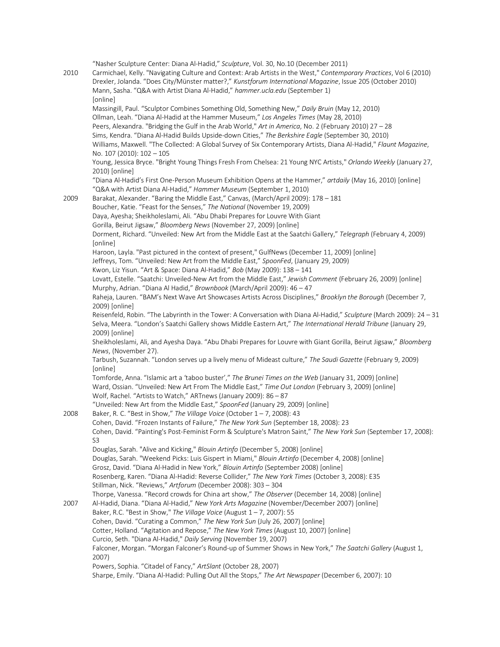| Drexler, Jolanda. "Does City/Münster matter?," Kunstforum International Magazine, Issue 205 (October 2010)<br>Mann, Sasha. "Q&A with Artist Diana Al-Hadid," hammer.ucla.edu (September 1)<br>[online]<br>Massingill, Paul. "Sculptor Combines Something Old, Something New," Daily Bruin (May 12, 2010)<br>Ollman, Leah. "Diana Al-Hadid at the Hammer Museum," Los Angeles Times (May 28, 2010)<br>Peers, Alexandra. "Bridging the Gulf in the Arab World," Art in America, No. 2 (February 2010) 27 - 28<br>Sims, Kendra. "Diana Al-Hadid Builds Upside-down Cities," The Berkshire Eagle (September 30, 2010)<br>Williams, Maxwell. "The Collected: A Global Survey of Six Contemporary Artists, Diana Al-Hadid," Flaunt Magazine,<br>No. 107 (2010): 102 - 105<br>Young, Jessica Bryce. "Bright Young Things Fresh From Chelsea: 21 Young NYC Artists," Orlando Weekly (January 27,<br>2010) [online]<br>"Diana Al-Hadid's First One-Person Museum Exhibition Opens at the Hammer," artdaily (May 16, 2010) [online]<br>"Q&A with Artist Diana Al-Hadid," Hammer Museum (September 1, 2010)<br>Barakat, Alexander. "Baring the Middle East," Canvas, (March/April 2009): 178 - 181<br>Boucher, Katie. "Feast for the Senses," The National (November 19, 2009)<br>Daya, Ayesha; Sheikholeslami, Ali. "Abu Dhabi Prepares for Louvre With Giant<br>Gorilla, Beirut Jigsaw," Bloomberg News (November 27, 2009) [online]<br>Dorment, Richard. "Unveiled: New Art from the Middle East at the Saatchi Gallery," Telegraph (February 4, 2009)<br>[online]<br>Haroon, Layla. "Past pictured in the context of present," GulfNews (December 11, 2009) [online]<br>Jeffreys, Tom. "Unveiled: New Art from the Middle East," SpoonFed, (January 29, 2009)<br>Kwon, Liz Yisun. "Art & Space: Diana Al-Hadid," Bob (May 2009): 138 - 141<br>Lovatt, Estelle. "Saatchi: Unveiled-New Art from the Middle East," Jewish Comment (February 26, 2009) [online]<br>Murphy, Adrian. "Diana Al Hadid," Brownbook (March/April 2009): 46 - 47<br>Raheja, Lauren. "BAM's Next Wave Art Showcases Artists Across Disciplines," Brooklyn the Borough (December 7,<br>2009) [online]<br>Reisenfeld, Robin. "The Labyrinth in the Tower: A Conversation with Diana Al-Hadid," Sculpture (March 2009): 24 - 31<br>Selva, Meera. "London's Saatchi Gallery shows Middle Eastern Art," The International Herald Tribune (January 29,<br>2009) [online]<br>Sheikholeslami, Ali, and Ayesha Daya. "Abu Dhabi Prepares for Louvre with Giant Gorilla, Beirut Jigsaw," Bloomberg<br>News, (November 27).<br>Tarbush, Suzannah. "London serves up a lively menu of Mideast culture," The Saudi Gazette (February 9, 2009)<br>[online]<br>Tomforde, Anna. "Islamic art a 'taboo buster'," The Brunei Times on the Web (January 31, 2009) [online]<br>Ward, Ossian. "Unveiled: New Art From The Middle East," Time Out London (February 3, 2009) [online]<br>Wolf, Rachel. "Artists to Watch," ARTnews (January 2009): 86 - 87<br>"Unveiled: New Art from the Middle East," SpoonFed (January 29, 2009) [online]<br>Baker, R. C. "Best in Show," The Village Voice (October $1 - 7$ , 2008): 43<br>2008<br>Cohen, David. "Frozen Instants of Failure," The New York Sun (September 18, 2008): 23<br>Cohen, David. "Painting's Post-Feminist Form & Sculpture's Matron Saint," The New York Sun (September 17, 2008):<br>S <sub>3</sub><br>Douglas, Sarah. "Alive and Kicking," Blouin Artinfo (December 5, 2008) [online]<br>Douglas, Sarah. "Weekend Picks: Luis Gispert in Miami," Blouin Artinfo (December 4, 2008) [online]<br>Grosz, David. "Diana Al-Hadid in New York," Blouin Artinfo (September 2008) [online]<br>Rosenberg, Karen. "Diana Al-Hadid: Reverse Collider," The New York Times (October 3, 2008): E35<br>Stillman, Nick. "Reviews," Artforum (December 2008): 303 - 304<br>Thorpe, Vanessa. "Record crowds for China art show," The Observer (December 14, 2008) [online]<br>Al-Hadid, Diana. "Diana Al-Hadid," New York Arts Magazine (November/December 2007) [online]<br>Baker, R.C. "Best in Show," The Village Voice (August $1 - 7$ , 2007): 55<br>Cohen, David. "Curating a Common," The New York Sun (July 26, 2007) [online]<br>Cotter, Holland. "Agitation and Repose," The New York Times (August 10, 2007) [online]<br>Curcio, Seth. "Diana Al-Hadid," Daily Serving (November 19, 2007)<br>Falconer, Morgan. "Morgan Falconer's Round-up of Summer Shows in New York," The Saatchi Gallery (August 1,<br>2007)<br>Powers, Sophia. "Citadel of Fancy," ArtSlant (October 28, 2007) | 2010 | "Nasher Sculpture Center: Diana Al-Hadid," Sculpture, Vol. 30, No.10 (December 2011)<br>Carmichael, Kelly. "Navigating Culture and Context: Arab Artists in the West," Contemporary Practices, Vol 6 (2010) |
|-----------------------------------------------------------------------------------------------------------------------------------------------------------------------------------------------------------------------------------------------------------------------------------------------------------------------------------------------------------------------------------------------------------------------------------------------------------------------------------------------------------------------------------------------------------------------------------------------------------------------------------------------------------------------------------------------------------------------------------------------------------------------------------------------------------------------------------------------------------------------------------------------------------------------------------------------------------------------------------------------------------------------------------------------------------------------------------------------------------------------------------------------------------------------------------------------------------------------------------------------------------------------------------------------------------------------------------------------------------------------------------------------------------------------------------------------------------------------------------------------------------------------------------------------------------------------------------------------------------------------------------------------------------------------------------------------------------------------------------------------------------------------------------------------------------------------------------------------------------------------------------------------------------------------------------------------------------------------------------------------------------------------------------------------------------------------------------------------------------------------------------------------------------------------------------------------------------------------------------------------------------------------------------------------------------------------------------------------------------------------------------------------------------------------------------------------------------------------------------------------------------------------------------------------------------------------------------------------------------------------------------------------------------------------------------------------------------------------------------------------------------------------------------------------------------------------------------------------------------------------------------------------------------------------------------------------------------------------------------------------------------------------------------------------------------------------------------------------------------------------------------------------------------------------------------------------------------------------------------------------------------------------------------------------------------------------------------------------------------------------------------------------------------------------------------------------------------------------------------------------------------------------------------------------------------------------------------------------------------------------------------------------------------------------------------------------------------------------------------------------------------------------------------------------------------------------------------------------------------------------------------------------------------------------------------------------------------------------------------------------------------------------------------------------------------------------------------------------------------------------------------------------------------------------------------------------------------------------------------------------------------------------------------------------------------------------------------------------------------------------------------------------------------------------------------------------------------------------------------------------------------------------------------------------------------------------------------------|------|-------------------------------------------------------------------------------------------------------------------------------------------------------------------------------------------------------------|
|                                                                                                                                                                                                                                                                                                                                                                                                                                                                                                                                                                                                                                                                                                                                                                                                                                                                                                                                                                                                                                                                                                                                                                                                                                                                                                                                                                                                                                                                                                                                                                                                                                                                                                                                                                                                                                                                                                                                                                                                                                                                                                                                                                                                                                                                                                                                                                                                                                                                                                                                                                                                                                                                                                                                                                                                                                                                                                                                                                                                                                                                                                                                                                                                                                                                                                                                                                                                                                                                                                                                                                                                                                                                                                                                                                                                                                                                                                                                                                                                                                                                                                                                                                                                                                                                                                                                                                                                                                                                                                                                                                                         |      |                                                                                                                                                                                                             |
|                                                                                                                                                                                                                                                                                                                                                                                                                                                                                                                                                                                                                                                                                                                                                                                                                                                                                                                                                                                                                                                                                                                                                                                                                                                                                                                                                                                                                                                                                                                                                                                                                                                                                                                                                                                                                                                                                                                                                                                                                                                                                                                                                                                                                                                                                                                                                                                                                                                                                                                                                                                                                                                                                                                                                                                                                                                                                                                                                                                                                                                                                                                                                                                                                                                                                                                                                                                                                                                                                                                                                                                                                                                                                                                                                                                                                                                                                                                                                                                                                                                                                                                                                                                                                                                                                                                                                                                                                                                                                                                                                                                         |      |                                                                                                                                                                                                             |
|                                                                                                                                                                                                                                                                                                                                                                                                                                                                                                                                                                                                                                                                                                                                                                                                                                                                                                                                                                                                                                                                                                                                                                                                                                                                                                                                                                                                                                                                                                                                                                                                                                                                                                                                                                                                                                                                                                                                                                                                                                                                                                                                                                                                                                                                                                                                                                                                                                                                                                                                                                                                                                                                                                                                                                                                                                                                                                                                                                                                                                                                                                                                                                                                                                                                                                                                                                                                                                                                                                                                                                                                                                                                                                                                                                                                                                                                                                                                                                                                                                                                                                                                                                                                                                                                                                                                                                                                                                                                                                                                                                                         |      |                                                                                                                                                                                                             |
|                                                                                                                                                                                                                                                                                                                                                                                                                                                                                                                                                                                                                                                                                                                                                                                                                                                                                                                                                                                                                                                                                                                                                                                                                                                                                                                                                                                                                                                                                                                                                                                                                                                                                                                                                                                                                                                                                                                                                                                                                                                                                                                                                                                                                                                                                                                                                                                                                                                                                                                                                                                                                                                                                                                                                                                                                                                                                                                                                                                                                                                                                                                                                                                                                                                                                                                                                                                                                                                                                                                                                                                                                                                                                                                                                                                                                                                                                                                                                                                                                                                                                                                                                                                                                                                                                                                                                                                                                                                                                                                                                                                         |      |                                                                                                                                                                                                             |
|                                                                                                                                                                                                                                                                                                                                                                                                                                                                                                                                                                                                                                                                                                                                                                                                                                                                                                                                                                                                                                                                                                                                                                                                                                                                                                                                                                                                                                                                                                                                                                                                                                                                                                                                                                                                                                                                                                                                                                                                                                                                                                                                                                                                                                                                                                                                                                                                                                                                                                                                                                                                                                                                                                                                                                                                                                                                                                                                                                                                                                                                                                                                                                                                                                                                                                                                                                                                                                                                                                                                                                                                                                                                                                                                                                                                                                                                                                                                                                                                                                                                                                                                                                                                                                                                                                                                                                                                                                                                                                                                                                                         |      |                                                                                                                                                                                                             |
|                                                                                                                                                                                                                                                                                                                                                                                                                                                                                                                                                                                                                                                                                                                                                                                                                                                                                                                                                                                                                                                                                                                                                                                                                                                                                                                                                                                                                                                                                                                                                                                                                                                                                                                                                                                                                                                                                                                                                                                                                                                                                                                                                                                                                                                                                                                                                                                                                                                                                                                                                                                                                                                                                                                                                                                                                                                                                                                                                                                                                                                                                                                                                                                                                                                                                                                                                                                                                                                                                                                                                                                                                                                                                                                                                                                                                                                                                                                                                                                                                                                                                                                                                                                                                                                                                                                                                                                                                                                                                                                                                                                         |      |                                                                                                                                                                                                             |
|                                                                                                                                                                                                                                                                                                                                                                                                                                                                                                                                                                                                                                                                                                                                                                                                                                                                                                                                                                                                                                                                                                                                                                                                                                                                                                                                                                                                                                                                                                                                                                                                                                                                                                                                                                                                                                                                                                                                                                                                                                                                                                                                                                                                                                                                                                                                                                                                                                                                                                                                                                                                                                                                                                                                                                                                                                                                                                                                                                                                                                                                                                                                                                                                                                                                                                                                                                                                                                                                                                                                                                                                                                                                                                                                                                                                                                                                                                                                                                                                                                                                                                                                                                                                                                                                                                                                                                                                                                                                                                                                                                                         |      |                                                                                                                                                                                                             |
|                                                                                                                                                                                                                                                                                                                                                                                                                                                                                                                                                                                                                                                                                                                                                                                                                                                                                                                                                                                                                                                                                                                                                                                                                                                                                                                                                                                                                                                                                                                                                                                                                                                                                                                                                                                                                                                                                                                                                                                                                                                                                                                                                                                                                                                                                                                                                                                                                                                                                                                                                                                                                                                                                                                                                                                                                                                                                                                                                                                                                                                                                                                                                                                                                                                                                                                                                                                                                                                                                                                                                                                                                                                                                                                                                                                                                                                                                                                                                                                                                                                                                                                                                                                                                                                                                                                                                                                                                                                                                                                                                                                         |      |                                                                                                                                                                                                             |
|                                                                                                                                                                                                                                                                                                                                                                                                                                                                                                                                                                                                                                                                                                                                                                                                                                                                                                                                                                                                                                                                                                                                                                                                                                                                                                                                                                                                                                                                                                                                                                                                                                                                                                                                                                                                                                                                                                                                                                                                                                                                                                                                                                                                                                                                                                                                                                                                                                                                                                                                                                                                                                                                                                                                                                                                                                                                                                                                                                                                                                                                                                                                                                                                                                                                                                                                                                                                                                                                                                                                                                                                                                                                                                                                                                                                                                                                                                                                                                                                                                                                                                                                                                                                                                                                                                                                                                                                                                                                                                                                                                                         |      |                                                                                                                                                                                                             |
|                                                                                                                                                                                                                                                                                                                                                                                                                                                                                                                                                                                                                                                                                                                                                                                                                                                                                                                                                                                                                                                                                                                                                                                                                                                                                                                                                                                                                                                                                                                                                                                                                                                                                                                                                                                                                                                                                                                                                                                                                                                                                                                                                                                                                                                                                                                                                                                                                                                                                                                                                                                                                                                                                                                                                                                                                                                                                                                                                                                                                                                                                                                                                                                                                                                                                                                                                                                                                                                                                                                                                                                                                                                                                                                                                                                                                                                                                                                                                                                                                                                                                                                                                                                                                                                                                                                                                                                                                                                                                                                                                                                         | 2009 |                                                                                                                                                                                                             |
|                                                                                                                                                                                                                                                                                                                                                                                                                                                                                                                                                                                                                                                                                                                                                                                                                                                                                                                                                                                                                                                                                                                                                                                                                                                                                                                                                                                                                                                                                                                                                                                                                                                                                                                                                                                                                                                                                                                                                                                                                                                                                                                                                                                                                                                                                                                                                                                                                                                                                                                                                                                                                                                                                                                                                                                                                                                                                                                                                                                                                                                                                                                                                                                                                                                                                                                                                                                                                                                                                                                                                                                                                                                                                                                                                                                                                                                                                                                                                                                                                                                                                                                                                                                                                                                                                                                                                                                                                                                                                                                                                                                         |      |                                                                                                                                                                                                             |
|                                                                                                                                                                                                                                                                                                                                                                                                                                                                                                                                                                                                                                                                                                                                                                                                                                                                                                                                                                                                                                                                                                                                                                                                                                                                                                                                                                                                                                                                                                                                                                                                                                                                                                                                                                                                                                                                                                                                                                                                                                                                                                                                                                                                                                                                                                                                                                                                                                                                                                                                                                                                                                                                                                                                                                                                                                                                                                                                                                                                                                                                                                                                                                                                                                                                                                                                                                                                                                                                                                                                                                                                                                                                                                                                                                                                                                                                                                                                                                                                                                                                                                                                                                                                                                                                                                                                                                                                                                                                                                                                                                                         |      |                                                                                                                                                                                                             |
|                                                                                                                                                                                                                                                                                                                                                                                                                                                                                                                                                                                                                                                                                                                                                                                                                                                                                                                                                                                                                                                                                                                                                                                                                                                                                                                                                                                                                                                                                                                                                                                                                                                                                                                                                                                                                                                                                                                                                                                                                                                                                                                                                                                                                                                                                                                                                                                                                                                                                                                                                                                                                                                                                                                                                                                                                                                                                                                                                                                                                                                                                                                                                                                                                                                                                                                                                                                                                                                                                                                                                                                                                                                                                                                                                                                                                                                                                                                                                                                                                                                                                                                                                                                                                                                                                                                                                                                                                                                                                                                                                                                         |      |                                                                                                                                                                                                             |
|                                                                                                                                                                                                                                                                                                                                                                                                                                                                                                                                                                                                                                                                                                                                                                                                                                                                                                                                                                                                                                                                                                                                                                                                                                                                                                                                                                                                                                                                                                                                                                                                                                                                                                                                                                                                                                                                                                                                                                                                                                                                                                                                                                                                                                                                                                                                                                                                                                                                                                                                                                                                                                                                                                                                                                                                                                                                                                                                                                                                                                                                                                                                                                                                                                                                                                                                                                                                                                                                                                                                                                                                                                                                                                                                                                                                                                                                                                                                                                                                                                                                                                                                                                                                                                                                                                                                                                                                                                                                                                                                                                                         |      |                                                                                                                                                                                                             |
|                                                                                                                                                                                                                                                                                                                                                                                                                                                                                                                                                                                                                                                                                                                                                                                                                                                                                                                                                                                                                                                                                                                                                                                                                                                                                                                                                                                                                                                                                                                                                                                                                                                                                                                                                                                                                                                                                                                                                                                                                                                                                                                                                                                                                                                                                                                                                                                                                                                                                                                                                                                                                                                                                                                                                                                                                                                                                                                                                                                                                                                                                                                                                                                                                                                                                                                                                                                                                                                                                                                                                                                                                                                                                                                                                                                                                                                                                                                                                                                                                                                                                                                                                                                                                                                                                                                                                                                                                                                                                                                                                                                         |      |                                                                                                                                                                                                             |
|                                                                                                                                                                                                                                                                                                                                                                                                                                                                                                                                                                                                                                                                                                                                                                                                                                                                                                                                                                                                                                                                                                                                                                                                                                                                                                                                                                                                                                                                                                                                                                                                                                                                                                                                                                                                                                                                                                                                                                                                                                                                                                                                                                                                                                                                                                                                                                                                                                                                                                                                                                                                                                                                                                                                                                                                                                                                                                                                                                                                                                                                                                                                                                                                                                                                                                                                                                                                                                                                                                                                                                                                                                                                                                                                                                                                                                                                                                                                                                                                                                                                                                                                                                                                                                                                                                                                                                                                                                                                                                                                                                                         |      |                                                                                                                                                                                                             |
|                                                                                                                                                                                                                                                                                                                                                                                                                                                                                                                                                                                                                                                                                                                                                                                                                                                                                                                                                                                                                                                                                                                                                                                                                                                                                                                                                                                                                                                                                                                                                                                                                                                                                                                                                                                                                                                                                                                                                                                                                                                                                                                                                                                                                                                                                                                                                                                                                                                                                                                                                                                                                                                                                                                                                                                                                                                                                                                                                                                                                                                                                                                                                                                                                                                                                                                                                                                                                                                                                                                                                                                                                                                                                                                                                                                                                                                                                                                                                                                                                                                                                                                                                                                                                                                                                                                                                                                                                                                                                                                                                                                         |      |                                                                                                                                                                                                             |
|                                                                                                                                                                                                                                                                                                                                                                                                                                                                                                                                                                                                                                                                                                                                                                                                                                                                                                                                                                                                                                                                                                                                                                                                                                                                                                                                                                                                                                                                                                                                                                                                                                                                                                                                                                                                                                                                                                                                                                                                                                                                                                                                                                                                                                                                                                                                                                                                                                                                                                                                                                                                                                                                                                                                                                                                                                                                                                                                                                                                                                                                                                                                                                                                                                                                                                                                                                                                                                                                                                                                                                                                                                                                                                                                                                                                                                                                                                                                                                                                                                                                                                                                                                                                                                                                                                                                                                                                                                                                                                                                                                                         |      |                                                                                                                                                                                                             |
|                                                                                                                                                                                                                                                                                                                                                                                                                                                                                                                                                                                                                                                                                                                                                                                                                                                                                                                                                                                                                                                                                                                                                                                                                                                                                                                                                                                                                                                                                                                                                                                                                                                                                                                                                                                                                                                                                                                                                                                                                                                                                                                                                                                                                                                                                                                                                                                                                                                                                                                                                                                                                                                                                                                                                                                                                                                                                                                                                                                                                                                                                                                                                                                                                                                                                                                                                                                                                                                                                                                                                                                                                                                                                                                                                                                                                                                                                                                                                                                                                                                                                                                                                                                                                                                                                                                                                                                                                                                                                                                                                                                         |      |                                                                                                                                                                                                             |
|                                                                                                                                                                                                                                                                                                                                                                                                                                                                                                                                                                                                                                                                                                                                                                                                                                                                                                                                                                                                                                                                                                                                                                                                                                                                                                                                                                                                                                                                                                                                                                                                                                                                                                                                                                                                                                                                                                                                                                                                                                                                                                                                                                                                                                                                                                                                                                                                                                                                                                                                                                                                                                                                                                                                                                                                                                                                                                                                                                                                                                                                                                                                                                                                                                                                                                                                                                                                                                                                                                                                                                                                                                                                                                                                                                                                                                                                                                                                                                                                                                                                                                                                                                                                                                                                                                                                                                                                                                                                                                                                                                                         |      |                                                                                                                                                                                                             |
|                                                                                                                                                                                                                                                                                                                                                                                                                                                                                                                                                                                                                                                                                                                                                                                                                                                                                                                                                                                                                                                                                                                                                                                                                                                                                                                                                                                                                                                                                                                                                                                                                                                                                                                                                                                                                                                                                                                                                                                                                                                                                                                                                                                                                                                                                                                                                                                                                                                                                                                                                                                                                                                                                                                                                                                                                                                                                                                                                                                                                                                                                                                                                                                                                                                                                                                                                                                                                                                                                                                                                                                                                                                                                                                                                                                                                                                                                                                                                                                                                                                                                                                                                                                                                                                                                                                                                                                                                                                                                                                                                                                         |      |                                                                                                                                                                                                             |
|                                                                                                                                                                                                                                                                                                                                                                                                                                                                                                                                                                                                                                                                                                                                                                                                                                                                                                                                                                                                                                                                                                                                                                                                                                                                                                                                                                                                                                                                                                                                                                                                                                                                                                                                                                                                                                                                                                                                                                                                                                                                                                                                                                                                                                                                                                                                                                                                                                                                                                                                                                                                                                                                                                                                                                                                                                                                                                                                                                                                                                                                                                                                                                                                                                                                                                                                                                                                                                                                                                                                                                                                                                                                                                                                                                                                                                                                                                                                                                                                                                                                                                                                                                                                                                                                                                                                                                                                                                                                                                                                                                                         |      |                                                                                                                                                                                                             |
|                                                                                                                                                                                                                                                                                                                                                                                                                                                                                                                                                                                                                                                                                                                                                                                                                                                                                                                                                                                                                                                                                                                                                                                                                                                                                                                                                                                                                                                                                                                                                                                                                                                                                                                                                                                                                                                                                                                                                                                                                                                                                                                                                                                                                                                                                                                                                                                                                                                                                                                                                                                                                                                                                                                                                                                                                                                                                                                                                                                                                                                                                                                                                                                                                                                                                                                                                                                                                                                                                                                                                                                                                                                                                                                                                                                                                                                                                                                                                                                                                                                                                                                                                                                                                                                                                                                                                                                                                                                                                                                                                                                         |      |                                                                                                                                                                                                             |
|                                                                                                                                                                                                                                                                                                                                                                                                                                                                                                                                                                                                                                                                                                                                                                                                                                                                                                                                                                                                                                                                                                                                                                                                                                                                                                                                                                                                                                                                                                                                                                                                                                                                                                                                                                                                                                                                                                                                                                                                                                                                                                                                                                                                                                                                                                                                                                                                                                                                                                                                                                                                                                                                                                                                                                                                                                                                                                                                                                                                                                                                                                                                                                                                                                                                                                                                                                                                                                                                                                                                                                                                                                                                                                                                                                                                                                                                                                                                                                                                                                                                                                                                                                                                                                                                                                                                                                                                                                                                                                                                                                                         |      |                                                                                                                                                                                                             |
|                                                                                                                                                                                                                                                                                                                                                                                                                                                                                                                                                                                                                                                                                                                                                                                                                                                                                                                                                                                                                                                                                                                                                                                                                                                                                                                                                                                                                                                                                                                                                                                                                                                                                                                                                                                                                                                                                                                                                                                                                                                                                                                                                                                                                                                                                                                                                                                                                                                                                                                                                                                                                                                                                                                                                                                                                                                                                                                                                                                                                                                                                                                                                                                                                                                                                                                                                                                                                                                                                                                                                                                                                                                                                                                                                                                                                                                                                                                                                                                                                                                                                                                                                                                                                                                                                                                                                                                                                                                                                                                                                                                         |      |                                                                                                                                                                                                             |
|                                                                                                                                                                                                                                                                                                                                                                                                                                                                                                                                                                                                                                                                                                                                                                                                                                                                                                                                                                                                                                                                                                                                                                                                                                                                                                                                                                                                                                                                                                                                                                                                                                                                                                                                                                                                                                                                                                                                                                                                                                                                                                                                                                                                                                                                                                                                                                                                                                                                                                                                                                                                                                                                                                                                                                                                                                                                                                                                                                                                                                                                                                                                                                                                                                                                                                                                                                                                                                                                                                                                                                                                                                                                                                                                                                                                                                                                                                                                                                                                                                                                                                                                                                                                                                                                                                                                                                                                                                                                                                                                                                                         |      |                                                                                                                                                                                                             |
|                                                                                                                                                                                                                                                                                                                                                                                                                                                                                                                                                                                                                                                                                                                                                                                                                                                                                                                                                                                                                                                                                                                                                                                                                                                                                                                                                                                                                                                                                                                                                                                                                                                                                                                                                                                                                                                                                                                                                                                                                                                                                                                                                                                                                                                                                                                                                                                                                                                                                                                                                                                                                                                                                                                                                                                                                                                                                                                                                                                                                                                                                                                                                                                                                                                                                                                                                                                                                                                                                                                                                                                                                                                                                                                                                                                                                                                                                                                                                                                                                                                                                                                                                                                                                                                                                                                                                                                                                                                                                                                                                                                         |      |                                                                                                                                                                                                             |
|                                                                                                                                                                                                                                                                                                                                                                                                                                                                                                                                                                                                                                                                                                                                                                                                                                                                                                                                                                                                                                                                                                                                                                                                                                                                                                                                                                                                                                                                                                                                                                                                                                                                                                                                                                                                                                                                                                                                                                                                                                                                                                                                                                                                                                                                                                                                                                                                                                                                                                                                                                                                                                                                                                                                                                                                                                                                                                                                                                                                                                                                                                                                                                                                                                                                                                                                                                                                                                                                                                                                                                                                                                                                                                                                                                                                                                                                                                                                                                                                                                                                                                                                                                                                                                                                                                                                                                                                                                                                                                                                                                                         |      |                                                                                                                                                                                                             |
|                                                                                                                                                                                                                                                                                                                                                                                                                                                                                                                                                                                                                                                                                                                                                                                                                                                                                                                                                                                                                                                                                                                                                                                                                                                                                                                                                                                                                                                                                                                                                                                                                                                                                                                                                                                                                                                                                                                                                                                                                                                                                                                                                                                                                                                                                                                                                                                                                                                                                                                                                                                                                                                                                                                                                                                                                                                                                                                                                                                                                                                                                                                                                                                                                                                                                                                                                                                                                                                                                                                                                                                                                                                                                                                                                                                                                                                                                                                                                                                                                                                                                                                                                                                                                                                                                                                                                                                                                                                                                                                                                                                         |      |                                                                                                                                                                                                             |
|                                                                                                                                                                                                                                                                                                                                                                                                                                                                                                                                                                                                                                                                                                                                                                                                                                                                                                                                                                                                                                                                                                                                                                                                                                                                                                                                                                                                                                                                                                                                                                                                                                                                                                                                                                                                                                                                                                                                                                                                                                                                                                                                                                                                                                                                                                                                                                                                                                                                                                                                                                                                                                                                                                                                                                                                                                                                                                                                                                                                                                                                                                                                                                                                                                                                                                                                                                                                                                                                                                                                                                                                                                                                                                                                                                                                                                                                                                                                                                                                                                                                                                                                                                                                                                                                                                                                                                                                                                                                                                                                                                                         |      |                                                                                                                                                                                                             |
|                                                                                                                                                                                                                                                                                                                                                                                                                                                                                                                                                                                                                                                                                                                                                                                                                                                                                                                                                                                                                                                                                                                                                                                                                                                                                                                                                                                                                                                                                                                                                                                                                                                                                                                                                                                                                                                                                                                                                                                                                                                                                                                                                                                                                                                                                                                                                                                                                                                                                                                                                                                                                                                                                                                                                                                                                                                                                                                                                                                                                                                                                                                                                                                                                                                                                                                                                                                                                                                                                                                                                                                                                                                                                                                                                                                                                                                                                                                                                                                                                                                                                                                                                                                                                                                                                                                                                                                                                                                                                                                                                                                         |      |                                                                                                                                                                                                             |
|                                                                                                                                                                                                                                                                                                                                                                                                                                                                                                                                                                                                                                                                                                                                                                                                                                                                                                                                                                                                                                                                                                                                                                                                                                                                                                                                                                                                                                                                                                                                                                                                                                                                                                                                                                                                                                                                                                                                                                                                                                                                                                                                                                                                                                                                                                                                                                                                                                                                                                                                                                                                                                                                                                                                                                                                                                                                                                                                                                                                                                                                                                                                                                                                                                                                                                                                                                                                                                                                                                                                                                                                                                                                                                                                                                                                                                                                                                                                                                                                                                                                                                                                                                                                                                                                                                                                                                                                                                                                                                                                                                                         |      |                                                                                                                                                                                                             |
|                                                                                                                                                                                                                                                                                                                                                                                                                                                                                                                                                                                                                                                                                                                                                                                                                                                                                                                                                                                                                                                                                                                                                                                                                                                                                                                                                                                                                                                                                                                                                                                                                                                                                                                                                                                                                                                                                                                                                                                                                                                                                                                                                                                                                                                                                                                                                                                                                                                                                                                                                                                                                                                                                                                                                                                                                                                                                                                                                                                                                                                                                                                                                                                                                                                                                                                                                                                                                                                                                                                                                                                                                                                                                                                                                                                                                                                                                                                                                                                                                                                                                                                                                                                                                                                                                                                                                                                                                                                                                                                                                                                         |      |                                                                                                                                                                                                             |
|                                                                                                                                                                                                                                                                                                                                                                                                                                                                                                                                                                                                                                                                                                                                                                                                                                                                                                                                                                                                                                                                                                                                                                                                                                                                                                                                                                                                                                                                                                                                                                                                                                                                                                                                                                                                                                                                                                                                                                                                                                                                                                                                                                                                                                                                                                                                                                                                                                                                                                                                                                                                                                                                                                                                                                                                                                                                                                                                                                                                                                                                                                                                                                                                                                                                                                                                                                                                                                                                                                                                                                                                                                                                                                                                                                                                                                                                                                                                                                                                                                                                                                                                                                                                                                                                                                                                                                                                                                                                                                                                                                                         |      |                                                                                                                                                                                                             |
|                                                                                                                                                                                                                                                                                                                                                                                                                                                                                                                                                                                                                                                                                                                                                                                                                                                                                                                                                                                                                                                                                                                                                                                                                                                                                                                                                                                                                                                                                                                                                                                                                                                                                                                                                                                                                                                                                                                                                                                                                                                                                                                                                                                                                                                                                                                                                                                                                                                                                                                                                                                                                                                                                                                                                                                                                                                                                                                                                                                                                                                                                                                                                                                                                                                                                                                                                                                                                                                                                                                                                                                                                                                                                                                                                                                                                                                                                                                                                                                                                                                                                                                                                                                                                                                                                                                                                                                                                                                                                                                                                                                         |      |                                                                                                                                                                                                             |
|                                                                                                                                                                                                                                                                                                                                                                                                                                                                                                                                                                                                                                                                                                                                                                                                                                                                                                                                                                                                                                                                                                                                                                                                                                                                                                                                                                                                                                                                                                                                                                                                                                                                                                                                                                                                                                                                                                                                                                                                                                                                                                                                                                                                                                                                                                                                                                                                                                                                                                                                                                                                                                                                                                                                                                                                                                                                                                                                                                                                                                                                                                                                                                                                                                                                                                                                                                                                                                                                                                                                                                                                                                                                                                                                                                                                                                                                                                                                                                                                                                                                                                                                                                                                                                                                                                                                                                                                                                                                                                                                                                                         |      |                                                                                                                                                                                                             |
|                                                                                                                                                                                                                                                                                                                                                                                                                                                                                                                                                                                                                                                                                                                                                                                                                                                                                                                                                                                                                                                                                                                                                                                                                                                                                                                                                                                                                                                                                                                                                                                                                                                                                                                                                                                                                                                                                                                                                                                                                                                                                                                                                                                                                                                                                                                                                                                                                                                                                                                                                                                                                                                                                                                                                                                                                                                                                                                                                                                                                                                                                                                                                                                                                                                                                                                                                                                                                                                                                                                                                                                                                                                                                                                                                                                                                                                                                                                                                                                                                                                                                                                                                                                                                                                                                                                                                                                                                                                                                                                                                                                         |      |                                                                                                                                                                                                             |
|                                                                                                                                                                                                                                                                                                                                                                                                                                                                                                                                                                                                                                                                                                                                                                                                                                                                                                                                                                                                                                                                                                                                                                                                                                                                                                                                                                                                                                                                                                                                                                                                                                                                                                                                                                                                                                                                                                                                                                                                                                                                                                                                                                                                                                                                                                                                                                                                                                                                                                                                                                                                                                                                                                                                                                                                                                                                                                                                                                                                                                                                                                                                                                                                                                                                                                                                                                                                                                                                                                                                                                                                                                                                                                                                                                                                                                                                                                                                                                                                                                                                                                                                                                                                                                                                                                                                                                                                                                                                                                                                                                                         | 2007 |                                                                                                                                                                                                             |
|                                                                                                                                                                                                                                                                                                                                                                                                                                                                                                                                                                                                                                                                                                                                                                                                                                                                                                                                                                                                                                                                                                                                                                                                                                                                                                                                                                                                                                                                                                                                                                                                                                                                                                                                                                                                                                                                                                                                                                                                                                                                                                                                                                                                                                                                                                                                                                                                                                                                                                                                                                                                                                                                                                                                                                                                                                                                                                                                                                                                                                                                                                                                                                                                                                                                                                                                                                                                                                                                                                                                                                                                                                                                                                                                                                                                                                                                                                                                                                                                                                                                                                                                                                                                                                                                                                                                                                                                                                                                                                                                                                                         |      |                                                                                                                                                                                                             |
|                                                                                                                                                                                                                                                                                                                                                                                                                                                                                                                                                                                                                                                                                                                                                                                                                                                                                                                                                                                                                                                                                                                                                                                                                                                                                                                                                                                                                                                                                                                                                                                                                                                                                                                                                                                                                                                                                                                                                                                                                                                                                                                                                                                                                                                                                                                                                                                                                                                                                                                                                                                                                                                                                                                                                                                                                                                                                                                                                                                                                                                                                                                                                                                                                                                                                                                                                                                                                                                                                                                                                                                                                                                                                                                                                                                                                                                                                                                                                                                                                                                                                                                                                                                                                                                                                                                                                                                                                                                                                                                                                                                         |      |                                                                                                                                                                                                             |
|                                                                                                                                                                                                                                                                                                                                                                                                                                                                                                                                                                                                                                                                                                                                                                                                                                                                                                                                                                                                                                                                                                                                                                                                                                                                                                                                                                                                                                                                                                                                                                                                                                                                                                                                                                                                                                                                                                                                                                                                                                                                                                                                                                                                                                                                                                                                                                                                                                                                                                                                                                                                                                                                                                                                                                                                                                                                                                                                                                                                                                                                                                                                                                                                                                                                                                                                                                                                                                                                                                                                                                                                                                                                                                                                                                                                                                                                                                                                                                                                                                                                                                                                                                                                                                                                                                                                                                                                                                                                                                                                                                                         |      |                                                                                                                                                                                                             |
|                                                                                                                                                                                                                                                                                                                                                                                                                                                                                                                                                                                                                                                                                                                                                                                                                                                                                                                                                                                                                                                                                                                                                                                                                                                                                                                                                                                                                                                                                                                                                                                                                                                                                                                                                                                                                                                                                                                                                                                                                                                                                                                                                                                                                                                                                                                                                                                                                                                                                                                                                                                                                                                                                                                                                                                                                                                                                                                                                                                                                                                                                                                                                                                                                                                                                                                                                                                                                                                                                                                                                                                                                                                                                                                                                                                                                                                                                                                                                                                                                                                                                                                                                                                                                                                                                                                                                                                                                                                                                                                                                                                         |      |                                                                                                                                                                                                             |
|                                                                                                                                                                                                                                                                                                                                                                                                                                                                                                                                                                                                                                                                                                                                                                                                                                                                                                                                                                                                                                                                                                                                                                                                                                                                                                                                                                                                                                                                                                                                                                                                                                                                                                                                                                                                                                                                                                                                                                                                                                                                                                                                                                                                                                                                                                                                                                                                                                                                                                                                                                                                                                                                                                                                                                                                                                                                                                                                                                                                                                                                                                                                                                                                                                                                                                                                                                                                                                                                                                                                                                                                                                                                                                                                                                                                                                                                                                                                                                                                                                                                                                                                                                                                                                                                                                                                                                                                                                                                                                                                                                                         |      |                                                                                                                                                                                                             |
| Sharpe, Emily. "Diana Al-Hadid: Pulling Out All the Stops," The Art Newspaper (December 6, 2007): 10                                                                                                                                                                                                                                                                                                                                                                                                                                                                                                                                                                                                                                                                                                                                                                                                                                                                                                                                                                                                                                                                                                                                                                                                                                                                                                                                                                                                                                                                                                                                                                                                                                                                                                                                                                                                                                                                                                                                                                                                                                                                                                                                                                                                                                                                                                                                                                                                                                                                                                                                                                                                                                                                                                                                                                                                                                                                                                                                                                                                                                                                                                                                                                                                                                                                                                                                                                                                                                                                                                                                                                                                                                                                                                                                                                                                                                                                                                                                                                                                                                                                                                                                                                                                                                                                                                                                                                                                                                                                                    |      |                                                                                                                                                                                                             |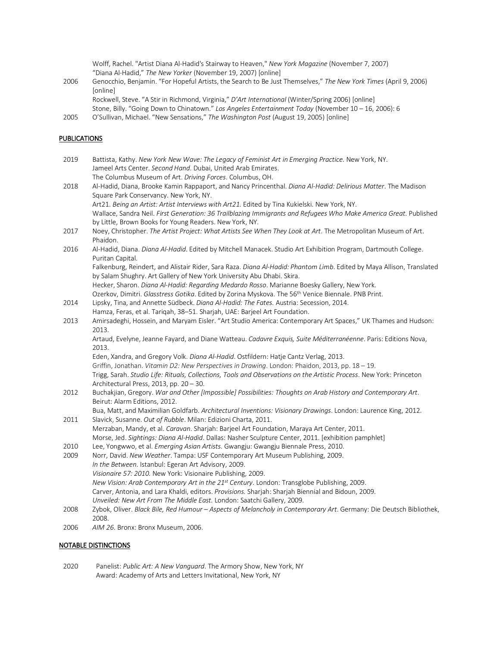Wolff, Rachel. "Artist Diana Al-Hadid's Stairway to Heaven," *New York Magazine* (November 7, 2007) "Diana Al-Hadid," *The New Yorker* (November 19, 2007) [online]

2006 Genocchio, Benjamin. "For Hopeful Artists, the Search to Be Just Themselves," *The New York Times* (April 9, 2006) [online]

Rockwell, Steve. "A Stir in Richmond, Virginia," *D'Art International* (Winter/Spring 2006) [online]

- Stone, Billy. "Going Down to Chinatown." *Los Angeles Entertainment Today* (November 10 16, 2006): 6
- 2005 O'Sullivan, Michael. "New Sensations," *The Washington Post* (August 19, 2005) [online]

### PUBLICATIONS

| 2019 | Battista, Kathy. New York New Wave: The Legacy of Feminist Art in Emerging Practice. New York, NY.<br>Jameel Arts Center. Second Hand. Dubai, United Arab Emirates.                             |
|------|-------------------------------------------------------------------------------------------------------------------------------------------------------------------------------------------------|
|      | The Columbus Museum of Art. Driving Forces. Columbus, OH.                                                                                                                                       |
| 2018 | Al-Hadid, Diana, Brooke Kamin Rappaport, and Nancy Princenthal. Diana Al-Hadid: Delirious Matter. The Madison                                                                                   |
|      | Square Park Conservancy. New York, NY.                                                                                                                                                          |
|      | Art21. Being an Artist: Artist Interviews with Art21. Edited by Tina Kukielski. New York, NY.                                                                                                   |
|      | Wallace, Sandra Neil. First Generation: 36 Trailblazing Immigrants and Refugees Who Make America Great. Published                                                                               |
|      | by Little, Brown Books for Young Readers. New York, NY.                                                                                                                                         |
| 2017 | Noey, Christopher. The Artist Project: What Artists See When They Look at Art. The Metropolitan Museum of Art.<br>Phaidon.                                                                      |
| 2016 | Al-Hadid, Diana. Diana Al-Hadid. Edited by Mitchell Manacek. Studio Art Exhibition Program, Dartmouth College.<br>Puritan Capital.                                                              |
|      | Falkenburg, Reindert, and Alistair Rider, Sara Raza. Diana Al-Hadid: Phantom Limb. Edited by Maya Allison, Translated<br>by Salam Shughry. Art Gallery of New York University Abu Dhabi. Skira. |
|      | Hecker, Sharon. Diana Al-Hadid: Regarding Medardo Rosso. Marianne Boesky Gallery, New York.                                                                                                     |
|      | Ozerkov, Dimitri. Glasstress Gotika. Edited by Zorina Myskova. The 56 <sup>th</sup> Venice Biennale. PNB Print.                                                                                 |
| 2014 | Lipsky, Tina, and Annette Südbeck. Diana Al-Hadid: The Fates. Austria: Secession, 2014.                                                                                                         |
|      | Hamza, Feras, et al. Tariqah, 38-51. Sharjah, UAE: Barjeel Art Foundation.                                                                                                                      |
| 2013 | Amirsadeghi, Hossein, and Maryam Eisler. "Art Studio America: Contemporary Art Spaces," UK Thames and Hudson:                                                                                   |
|      | 2013.                                                                                                                                                                                           |
|      | Artaud, Evelyne, Jeanne Fayard, and Diane Watteau. Cadavre Exquis, Suite Méditerranéenne. Paris: Editions Nova,<br>2013.                                                                        |
|      | Eden, Xandra, and Gregory Volk. Diana Al-Hadid. Ostfildern: Hatje Cantz Verlag, 2013.                                                                                                           |
|      | Griffin, Jonathan. Vitamin D2: New Perspectives in Drawing. London: Phaidon, 2013, pp. 18 - 19.                                                                                                 |
|      | Trigg, Sarah. Studio Life: Rituals, Collections, Tools and Observations on the Artistic Process. New York: Princeton                                                                            |
|      | Architectural Press, 2013, pp. 20 - 30.                                                                                                                                                         |
| 2012 | Buchakjian, Gregory. War and Other [Impossible] Possibilities: Thoughts on Arab History and Contemporary Art.                                                                                   |
|      | Beirut: Alarm Editions, 2012.                                                                                                                                                                   |
|      | Bua, Matt, and Maximilian Goldfarb. Architectural Inventions: Visionary Drawings. London: Laurence King, 2012.                                                                                  |
| 2011 | Slavick, Susanne. Out of Rubble. Milan: Edizioni Charta, 2011.                                                                                                                                  |
|      | Merzaban, Mandy, et al. Caravan. Sharjah: Barjeel Art Foundation, Maraya Art Center, 2011.                                                                                                      |
|      | Morse, Jed. Sightings: Diana Al-Hadid. Dallas: Nasher Sculpture Center, 2011. [exhibition pamphlet]                                                                                             |
| 2010 | Lee, Yongwwo, et al. Emerging Asian Artists. Gwangju: Gwangju Biennale Press, 2010.                                                                                                             |
| 2009 | Norr, David. New Weather. Tampa: USF Contemporary Art Museum Publishing, 2009.                                                                                                                  |
|      | In the Between. Istanbul: Egeran Art Advisory, 2009.                                                                                                                                            |
|      | Visionaire 57: 2010. New York: Visionaire Publishing, 2009.                                                                                                                                     |
|      | New Vision: Arab Contemporary Art in the 21 <sup>st</sup> Century. London: Transglobe Publishing, 2009.                                                                                         |
|      | Carver, Antonia, and Lara Khaldi, editors. Provisions. Sharjah: Sharjah Biennial and Bidoun, 2009.                                                                                              |
|      | Unveiled: New Art From The Middle East. London: Saatchi Gallery, 2009.                                                                                                                          |
| 2008 | Zybok, Oliver. Black Bile, Red Humour - Aspects of Melancholy in Contemporary Art. Germany: Die Deutsch Bibliothek,<br>2008.                                                                    |
|      |                                                                                                                                                                                                 |

2006 *AIM 26*. Bronx: Bronx Museum, 2006.

## NOTABLE DISTINCTIONS

2020 Panelist: *Public Art: A New Vanguard*. The Armory Show, New York, NY Award: Academy of Arts and Letters Invitational, New York, NY